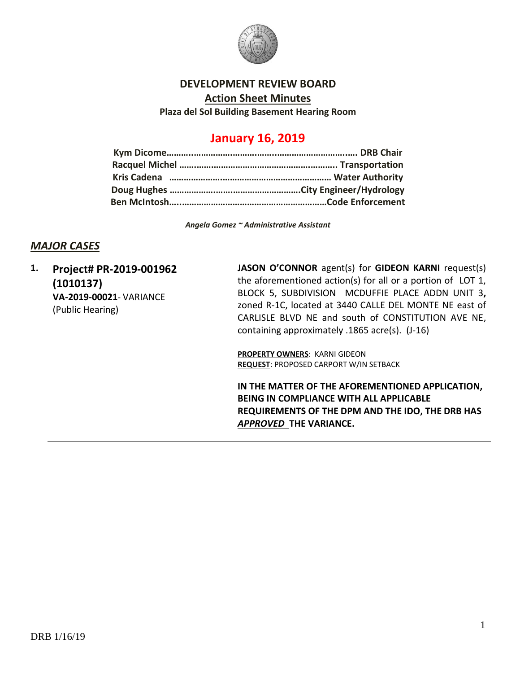

#### **DEVELOPMENT REVIEW BOARD**

**Action Sheet Minutes**

**Plaza del Sol Building Basement Hearing Room**

# **January 16, 2019**

*Angela Gomez ~ Administrative Assistant*

### *MAJOR CASES*

**1. Project# PR-2019-001962 (1010137) VA-2019-00021**- VARIANCE (Public Hearing)

**JASON O'CONNOR** agent(s) for **GIDEON KARNI** request(s) the aforementioned action(s) for all or a portion of LOT 1, BLOCK 5, SUBDIVISION MCDUFFIE PLACE ADDN UNIT 3**,**  zoned R-1C, located at 3440 CALLE DEL MONTE NE east of CARLISLE BLVD NE and south of CONSTITUTION AVE NE, containing approximately .1865 acre(s). (J-16)

**PROPERTY OWNERS**: KARNI GIDEON **REQUEST**: PROPOSED CARPORT W/IN SETBACK

**IN THE MATTER OF THE AFOREMENTIONED APPLICATION, BEING IN COMPLIANCE WITH ALL APPLICABLE REQUIREMENTS OF THE DPM AND THE IDO, THE DRB HAS**  *APPROVED* **THE VARIANCE.**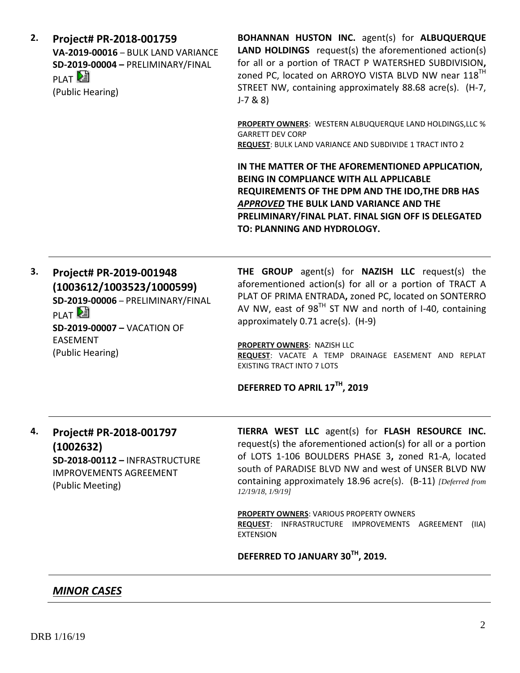**2. Project# PR-2018-001759 VA-2019-00016** – BULK LAND VARIANCE **SD-2019-00004 –** PRELIMINARY/FINAL PLAT<sup>[2</sup> (Public Hearing)

**BOHANNAN HUSTON INC.** agent(s) for **ALBUQUERQUE LAND HOLDINGS** request(s) the aforementioned action(s) for all or a portion of TRACT P WATERSHED SUBDIVISION**,**  zoned PC, located on ARROYO VISTA BLVD NW near 118<sup>TH</sup> STREET NW, containing approximately 88.68 acre(s). (H-7, J-7 & 8)

**PROPERTY OWNERS**: WESTERN ALBUQUERQUE LAND HOLDINGS,LLC % GARRETT DEV CORP **REQUEST**: BULK LAND VARIANCE AND SUBDIVIDE 1 TRACT INTO 2

**IN THE MATTER OF THE AFOREMENTIONED APPLICATION, BEING IN COMPLIANCE WITH ALL APPLICABLE REQUIREMENTS OF THE DPM AND THE IDO,THE DRB HAS**  *APPROVED* **THE BULK LAND VARIANCE AND THE PRELIMINARY/FINAL PLAT. FINAL SIGN OFF IS DELEGATED TO: PLANNING AND HYDROLOGY.**

**3. Project# PR-2019-001948 (1003612/1003523/1000599) SD-2019-00006** – PRELIMINARY/FINAL PLAT<sup>[25]</sup> **SD-2019-00007 –** VACATION OF EASEMENT (Public Hearing)

**THE GROUP** agent(s) for **NAZISH LLC** request(s) the aforementioned action(s) for all or a portion of TRACT A PLAT OF PRIMA ENTRADA**,** zoned PC, located on SONTERRO AV NW, east of  $98^{\text{TH}}$  ST NW and north of I-40, containing approximately 0.71 acre(s). (H-9)

**PROPERTY OWNERS**: NAZISH LLC **REQUEST**: VACATE A TEMP DRAINAGE EASEMENT AND REPLAT EXISTING TRACT INTO 7 LOTS

#### **DEFERRED TO APRIL 17TH, 2019**

# **4. Project# PR-2018-001797 (1002632) SD-2018-00112 –** INFRASTRUCTURE IMPROVEMENTS AGREEMENT (Public Meeting)

**TIERRA WEST LLC** agent(s) for **FLASH RESOURCE INC.** request(s) the aforementioned action(s) for all or a portion of LOTS 1-106 BOULDERS PHASE 3**,** zoned R1-A, located south of PARADISE BLVD NW and west of UNSER BLVD NW containing approximately 18.96 acre(s). (B-11) *[Deferred from 12/19/18, 1/9/19]*

**PROPERTY OWNERS**: VARIOUS PROPERTY OWNERS **REQUEST**: INFRASTRUCTURE IMPROVEMENTS AGREEMENT (IIA) EXTENSION

**DEFERRED TO JANUARY 30TH, 2019.**

### *MINOR CASES*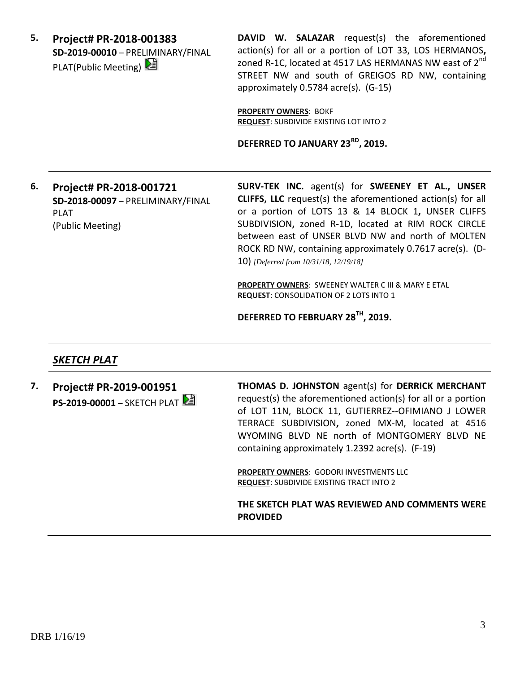**5. Project# PR-2018-001383 SD-2019-00010** – PRELIMINARY/FINAL PLAT(Public Meeting)

**DAVID W. SALAZAR** request(s) the aforementioned action(s) for all or a portion of LOT 33, LOS HERMANOS**,**  zoned R-1C, located at 4517 LAS HERMANAS NW east of 2<sup>nd</sup> STREET NW and south of GREIGOS RD NW, containing approximately 0.5784 acre(s). (G-15)

**PROPERTY OWNERS**: BOKF **REQUEST**: SUBDIVIDE EXISTING LOT INTO 2

**DEFERRED TO JANUARY 23RD, 2019.**

**6. Project# PR-2018-001721 SD-2018-00097** – PRELIMINARY/FINAL PLAT (Public Meeting)

**SURV-TEK INC.** agent(s) for **SWEENEY ET AL., UNSER CLIFFS, LLC** request(s) the aforementioned action(s) for all or a portion of LOTS 13 & 14 BLOCK 1**,** UNSER CLIFFS SUBDIVISION**,** zoned R-1D, located at RIM ROCK CIRCLE between east of UNSER BLVD NW and north of MOLTEN ROCK RD NW, containing approximately 0.7617 acre(s). (D-10) *[Deferred from 10/31/18, 12/19/18]*

**PROPERTY OWNERS**: SWEENEY WALTER C III & MARY E ETAL **REQUEST**: CONSOLIDATION OF 2 LOTS INTO 1

**DEFERRED TO FEBRUARY 28TH, 2019.**

## *SKETCH PLAT*

**7. Project# PR-2019-001951 PS-2019-00001** – SKETCH PLAT **THOMAS D. JOHNSTON** agent(s) for **DERRICK MERCHANT** request(s) the aforementioned action(s) for all or a portion of LOT 11N, BLOCK 11, GUTIERREZ--OFIMIANO J LOWER TERRACE SUBDIVISION**,** zoned MX-M, located at 4516 WYOMING BLVD NE north of MONTGOMERY BLVD NE containing approximately 1.2392 acre(s). (F-19)

**PROPERTY OWNERS**: GODORI INVESTMENTS LLC **REQUEST**: SUBDIVIDE EXISTING TRACT INTO 2

**THE SKETCH PLAT WAS REVIEWED AND COMMENTS WERE PROVIDED**